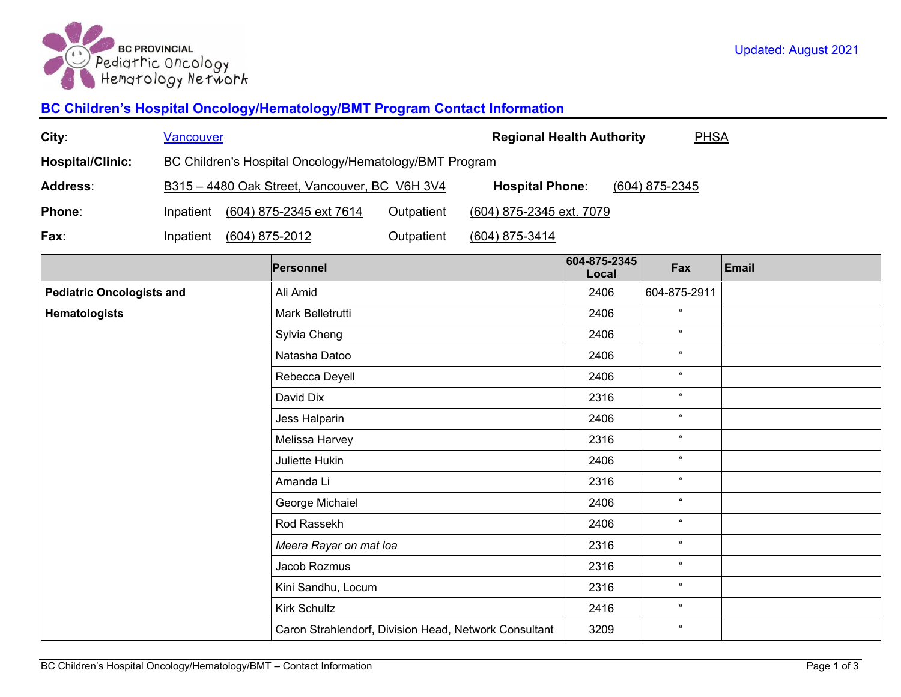

## **BC Children's Hospital Oncology/Hematology/BMT Program Contact Information**

| City:                            | <b>Vancouver</b>                                                                            |  |                                                       |                          | <b>Regional Health Authority</b><br><b>PHSA</b> |                       |              |              |  |
|----------------------------------|---------------------------------------------------------------------------------------------|--|-------------------------------------------------------|--------------------------|-------------------------------------------------|-----------------------|--------------|--------------|--|
| <b>Hospital/Clinic:</b>          | <b>BC Children's Hospital Oncology/Hematology/BMT Program</b>                               |  |                                                       |                          |                                                 |                       |              |              |  |
| Address:                         | B315 - 4480 Oak Street, Vancouver, BC V6H 3V4<br><b>Hospital Phone:</b><br>$(604)$ 875-2345 |  |                                                       |                          |                                                 |                       |              |              |  |
| Phone:                           | (604) 875-2345 ext 7614<br>Outpatient<br>Inpatient                                          |  |                                                       | (604) 875-2345 ext. 7079 |                                                 |                       |              |              |  |
| Fax:                             | Inpatient                                                                                   |  | $(604)$ 875-2012                                      | Outpatient               | $(604)$ 875-3414                                |                       |              |              |  |
|                                  |                                                                                             |  | Personnel                                             |                          |                                                 | 604-875-2345<br>Local | Fax          | <b>Email</b> |  |
| <b>Pediatric Oncologists and</b> |                                                                                             |  | Ali Amid                                              |                          |                                                 | 2406                  | 604-875-2911 |              |  |
| Hematologists                    |                                                                                             |  | Mark Belletrutti                                      |                          |                                                 | 2406                  | $\alpha$     |              |  |
|                                  |                                                                                             |  | Sylvia Cheng                                          |                          |                                                 | 2406                  | $\alpha$     |              |  |
|                                  |                                                                                             |  | Natasha Datoo                                         |                          |                                                 | 2406                  | $\alpha$     |              |  |
|                                  |                                                                                             |  | Rebecca Deyell                                        |                          |                                                 | 2406                  | $\alpha$     |              |  |
|                                  |                                                                                             |  | David Dix                                             |                          |                                                 | 2316                  | $\alpha$     |              |  |
|                                  |                                                                                             |  | Jess Halparin                                         |                          |                                                 | 2406                  | $\alpha$     |              |  |
|                                  |                                                                                             |  | Melissa Harvey                                        |                          |                                                 | 2316                  | $\alpha$     |              |  |
|                                  |                                                                                             |  | Juliette Hukin                                        |                          |                                                 | 2406                  | $\alpha$     |              |  |
|                                  |                                                                                             |  | Amanda Li                                             |                          |                                                 | 2316                  | $\alpha$     |              |  |
|                                  |                                                                                             |  | George Michaiel                                       |                          |                                                 | 2406                  | $\alpha$     |              |  |
|                                  |                                                                                             |  | Rod Rassekh                                           |                          |                                                 | 2406                  | $\alpha$     |              |  |
|                                  |                                                                                             |  | Meera Rayar on mat loa                                |                          |                                                 | 2316                  | $\alpha$     |              |  |
|                                  |                                                                                             |  | Jacob Rozmus                                          |                          |                                                 | 2316                  | $\alpha$     |              |  |
|                                  |                                                                                             |  | Kini Sandhu, Locum                                    |                          |                                                 | 2316                  | $\alpha$     |              |  |
|                                  |                                                                                             |  | <b>Kirk Schultz</b>                                   |                          |                                                 | 2416                  | $\alpha$     |              |  |
|                                  |                                                                                             |  | Caron Strahlendorf, Division Head, Network Consultant |                          |                                                 | 3209                  | $\alpha$     |              |  |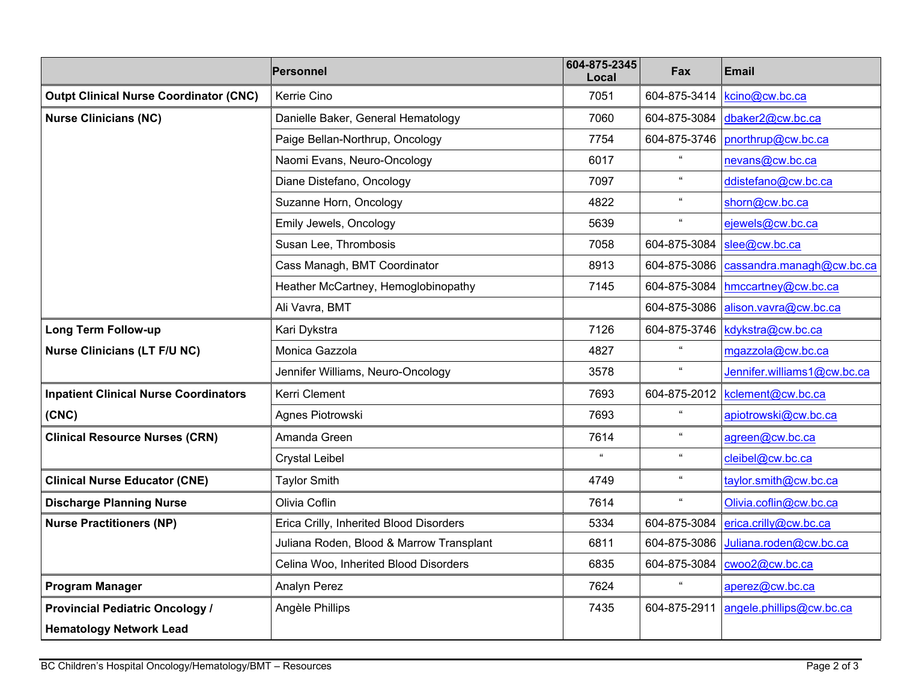|                                               | Personnel                                | 604-875-2345<br>Local | Fax                        | <b>Email</b>                |
|-----------------------------------------------|------------------------------------------|-----------------------|----------------------------|-----------------------------|
| <b>Outpt Clinical Nurse Coordinator (CNC)</b> | Kerrie Cino                              | 7051                  | 604-875-3414               | kcino@cw.bc.ca              |
| <b>Nurse Clinicians (NC)</b>                  | Danielle Baker, General Hematology       | 7060                  | 604-875-3084               | dbaker2@cw.bc.ca            |
|                                               | Paige Bellan-Northrup, Oncology          | 7754                  | 604-875-3746               | pnorthrup@cw.bc.ca          |
|                                               | Naomi Evans, Neuro-Oncology              | 6017                  |                            | nevans@cw.bc.ca             |
|                                               | Diane Distefano, Oncology                | 7097                  | $\alpha$                   | ddistefano@cw.bc.ca         |
|                                               | Suzanne Horn, Oncology                   | 4822                  | $\alpha$                   | shorn@cw.bc.ca              |
|                                               | Emily Jewels, Oncology                   | 5639                  | $\alpha$                   | ejewels@cw.bc.ca            |
|                                               | Susan Lee, Thrombosis                    | 7058                  | 604-875-3084               | slee@cw.bc.ca               |
|                                               | Cass Managh, BMT Coordinator             | 8913                  | 604-875-3086               | cassandra.managh@cw.bc.ca   |
|                                               | Heather McCartney, Hemoglobinopathy      | 7145                  | 604-875-3084               | hmccartney@cw.bc.ca         |
|                                               | Ali Vavra, BMT                           |                       | 604-875-3086               | alison.vavra@cw.bc.ca       |
| <b>Long Term Follow-up</b>                    | Kari Dykstra                             | 7126                  | 604-875-3746               | kdykstra@cw.bc.ca           |
| <b>Nurse Clinicians (LT F/U NC)</b>           | Monica Gazzola                           | 4827                  | $\alpha$                   | mgazzola@cw.bc.ca           |
|                                               | Jennifer Williams, Neuro-Oncology        | 3578                  | $\alpha$                   | Jennifer.williams1@cw.bc.ca |
| <b>Inpatient Clinical Nurse Coordinators</b>  | Kerri Clement                            | 7693                  | 604-875-2012               | kclement@cw.bc.ca           |
| (CNC)                                         | Agnes Piotrowski                         | 7693                  | $\alpha$                   | apiotrowski@cw.bc.ca        |
| <b>Clinical Resource Nurses (CRN)</b>         | Amanda Green                             | 7614                  | $\alpha$                   | agreen@cw.bc.ca             |
|                                               | <b>Crystal Leibel</b>                    | $\alpha$              | $\alpha$                   | cleibel@cw.bc.ca            |
| <b>Clinical Nurse Educator (CNE)</b>          | <b>Taylor Smith</b>                      | 4749                  | $\mathfrak{c}\mathfrak{c}$ | taylor.smith@cw.bc.ca       |
| <b>Discharge Planning Nurse</b>               | Olivia Coflin                            | 7614                  | $\alpha$                   | Olivia.coflin@cw.bc.ca      |
| <b>Nurse Practitioners (NP)</b>               | Erica Crilly, Inherited Blood Disorders  | 5334                  | 604-875-3084               | erica.crilly@cw.bc.ca       |
|                                               | Juliana Roden, Blood & Marrow Transplant | 6811                  | 604-875-3086               | Juliana.roden@cw.bc.ca      |
|                                               | Celina Woo, Inherited Blood Disorders    | 6835                  | 604-875-3084               | cwoo2@cw.bc.ca              |
| <b>Program Manager</b>                        | <b>Analyn Perez</b>                      | 7624                  | $\epsilon\epsilon$         | aperez@cw.bc.ca             |
| <b>Provincial Pediatric Oncology /</b>        | Angèle Phillips                          | 7435                  | 604-875-2911               | angele.phillips@cw.bc.ca    |
| <b>Hematology Network Lead</b>                |                                          |                       |                            |                             |